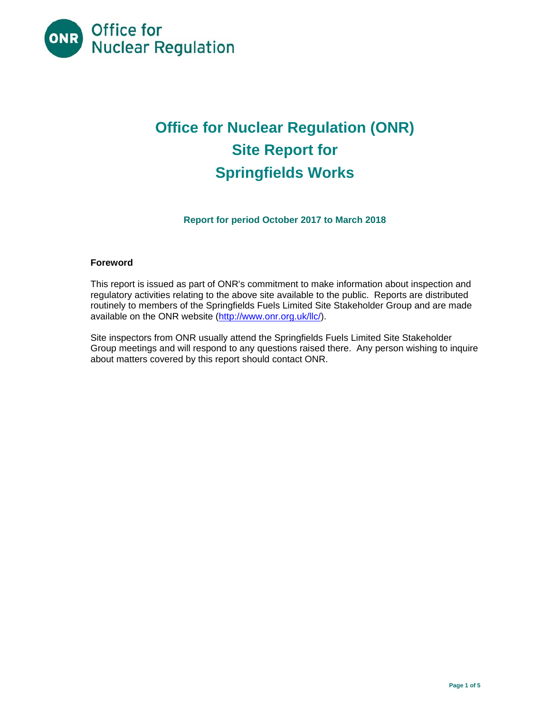

# **Office for Nuclear Regulation (ONR) Site Report for Springfields Works**

**Report for period October 2017 to March 2018** 

## **Foreword**

This report is issued as part of ONR's commitment to make information about inspection and regulatory activities relating to the above site available to the public. Reports are distributed routinely to members of the Springfields Fuels Limited Site Stakeholder Group and are made available on the ONR website (http://www.onr.org.uk/llc/).

Site inspectors from ONR usually attend the Springfields Fuels Limited Site Stakeholder Group meetings and will respond to any questions raised there. Any person wishing to inquire about matters covered by this report should contact ONR.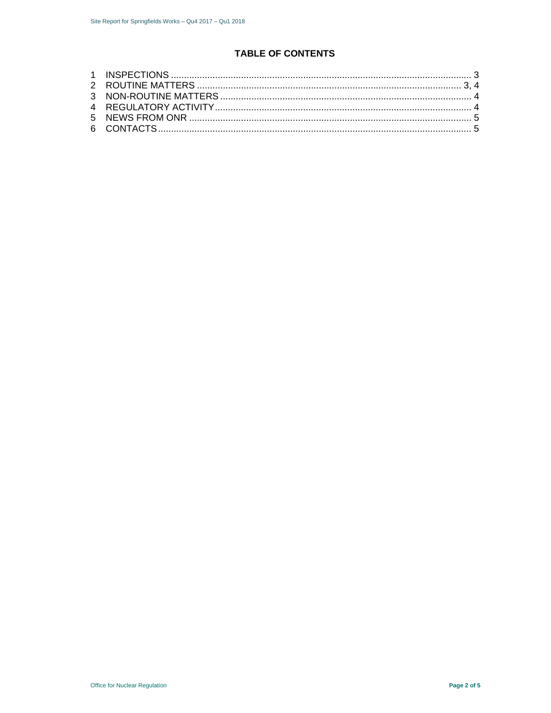# **TABLE OF CONTENTS**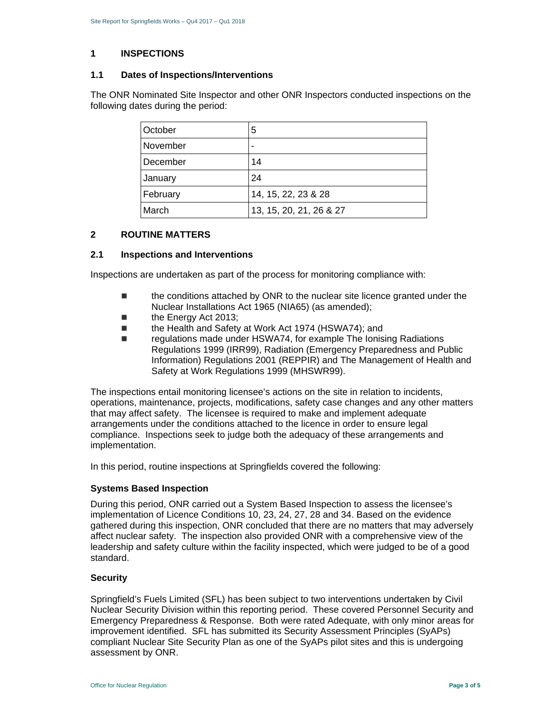#### **1 INSPECTIONS**

## **1.1 Dates of Inspections/Interventions**

The ONR Nominated Site Inspector and other ONR Inspectors conducted inspections on the following dates during the period:

| October  | 5                       |
|----------|-------------------------|
| November | -                       |
| December | 14                      |
| January  | 24                      |
| February | 14, 15, 22, 23 & 28     |
| March    | 13, 15, 20, 21, 26 & 27 |

## **2 ROUTINE MATTERS**

## **2.1 Inspections and Interventions**

Inspections are undertaken as part of the process for monitoring compliance with:

- the conditions attached by ONR to the nuclear site licence granted under the Nuclear Installations Act 1965 (NIA65) (as amended);
- the Energy Act 2013;
- the Health and Safety at Work Act 1974 (HSWA74); and
- regulations made under HSWA74, for example The Ionising Radiations Regulations 1999 (IRR99), Radiation (Emergency Preparedness and Public Information) Regulations 2001 (REPPIR) and The Management of Health and Safety at Work Regulations 1999 (MHSWR99).

The inspections entail monitoring licensee's actions on the site in relation to incidents, operations, maintenance, projects, modifications, safety case changes and any other matters that may affect safety. The licensee is required to make and implement adequate arrangements under the conditions attached to the licence in order to ensure legal compliance. Inspections seek to judge both the adequacy of these arrangements and implementation.

In this period, routine inspections at Springfields covered the following:

#### **Systems Based Inspection**

During this period, ONR carried out a System Based Inspection to assess the licensee's implementation of Licence Conditions 10, 23, 24, 27, 28 and 34. Based on the evidence gathered during this inspection, ONR concluded that there are no matters that may adversely affect nuclear safety. The inspection also provided ONR with a comprehensive view of the leadership and safety culture within the facility inspected, which were judged to be of a good standard.

#### **Security**

Springfield's Fuels Limited (SFL) has been subject to two interventions undertaken by Civil Nuclear Security Division within this reporting period. These covered Personnel Security and Emergency Preparedness & Response. Both were rated Adequate, with only minor areas for improvement identified. SFL has submitted its Security Assessment Principles (SyAPs) compliant Nuclear Site Security Plan as one of the SyAPs pilot sites and this is undergoing assessment by ONR.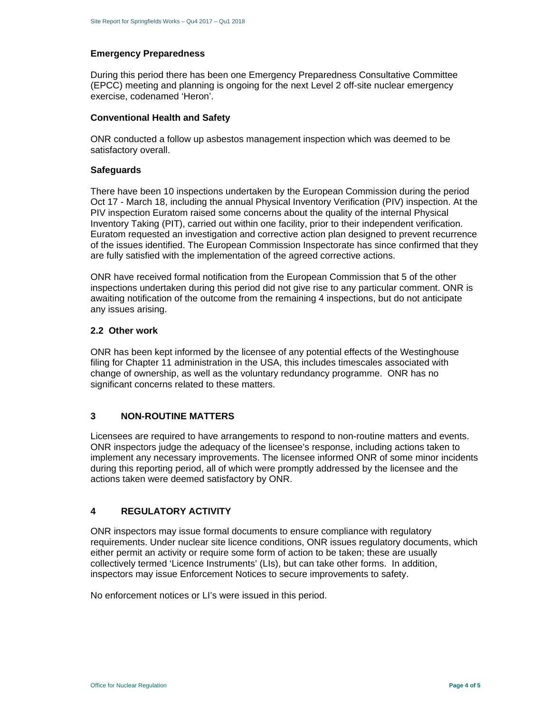#### **Emergency Preparedness**

During this period there has been one Emergency Preparedness Consultative Committee (EPCC) meeting and planning is ongoing for the next Level 2 off-site nuclear emergency exercise, codenamed 'Heron'.

#### **Conventional Health and Safety**

ONR conducted a follow up asbestos management inspection which was deemed to be satisfactory overall.

#### **Safeguards**

There have been 10 inspections undertaken by the European Commission during the period Oct 17 - March 18, including the annual Physical Inventory Verification (PIV) inspection. At the PIV inspection Euratom raised some concerns about the quality of the internal Physical Inventory Taking (PIT), carried out within one facility, prior to their independent verification. Euratom requested an investigation and corrective action plan designed to prevent recurrence of the issues identified. The European Commission Inspectorate has since confirmed that they are fully satisfied with the implementation of the agreed corrective actions.

ONR have received formal notification from the European Commission that 5 of the other inspections undertaken during this period did not give rise to any particular comment. ONR is awaiting notification of the outcome from the remaining 4 inspections, but do not anticipate any issues arising.

#### **2.2 Other work**

ONR has been kept informed by the licensee of any potential effects of the Westinghouse filing for Chapter 11 administration in the USA, this includes timescales associated with change of ownership, as well as the voluntary redundancy programme. ONR has no significant concerns related to these matters.

## **3 NON-ROUTINE MATTERS**

Licensees are required to have arrangements to respond to non-routine matters and events. ONR inspectors judge the adequacy of the licensee's response, including actions taken to implement any necessary improvements. The licensee informed ONR of some minor incidents during this reporting period, all of which were promptly addressed by the licensee and the actions taken were deemed satisfactory by ONR.

## **4 REGULATORY ACTIVITY**

ONR inspectors may issue formal documents to ensure compliance with regulatory requirements. Under nuclear site licence conditions, ONR issues regulatory documents, which either permit an activity or require some form of action to be taken; these are usually collectively termed 'Licence Instruments' (LIs), but can take other forms. In addition, inspectors may issue Enforcement Notices to secure improvements to safety.

No enforcement notices or LI's were issued in this period.